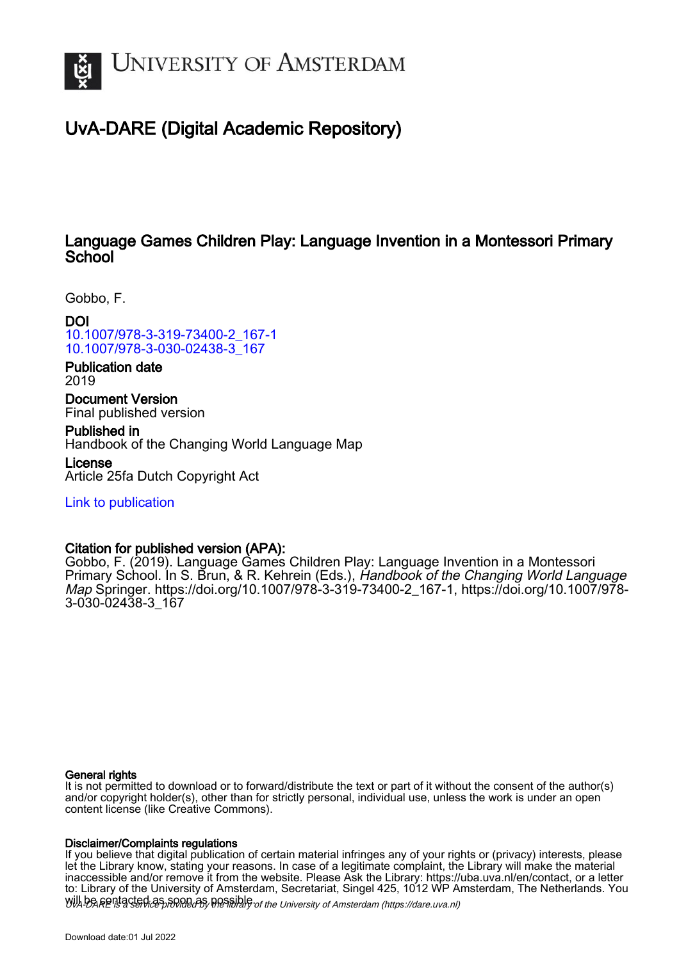

# UvA-DARE (Digital Academic Repository)

# Language Games Children Play: Language Invention in a Montessori Primary **School**

Gobbo, F.

DOI [10.1007/978-3-319-73400-2\\_167-1](https://doi.org/10.1007/978-3-319-73400-2_167-1) [10.1007/978-3-030-02438-3\\_167](https://doi.org/10.1007/978-3-030-02438-3_167)

Publication date 2019

Document Version Final published version

Published in Handbook of the Changing World Language Map

License Article 25fa Dutch Copyright Act

[Link to publication](https://dare.uva.nl/personal/pure/en/publications/language-games-children-play-language-invention-in-a-montessori-primary-school(0fd87a4d-5e1d-4e25-8aec-485962082a9d).html)

# Citation for published version (APA):

Gobbo, F. (2019). Language Games Children Play: Language Invention in a Montessori Primary School. In S. Brun, & R. Kehrein (Eds.), Handbook of the Changing World Language Map Springer. [https://doi.org/10.1007/978-3-319-73400-2\\_167-1,](https://doi.org/10.1007/978-3-319-73400-2_167-1) [https://doi.org/10.1007/978-](https://doi.org/10.1007/978-3-030-02438-3_167) [3-030-02438-3\\_167](https://doi.org/10.1007/978-3-030-02438-3_167)

## General rights

It is not permitted to download or to forward/distribute the text or part of it without the consent of the author(s) and/or copyright holder(s), other than for strictly personal, individual use, unless the work is under an open content license (like Creative Commons).

## Disclaimer/Complaints regulations

Will be **Rentacted as solutions** the spilling of the University of Amsterdam (https://dare.uva.nl) If you believe that digital publication of certain material infringes any of your rights or (privacy) interests, please let the Library know, stating your reasons. In case of a legitimate complaint, the Library will make the material inaccessible and/or remove it from the website. Please Ask the Library: https://uba.uva.nl/en/contact, or a letter to: Library of the University of Amsterdam, Secretariat, Singel 425, 1012 WP Amsterdam, The Netherlands. You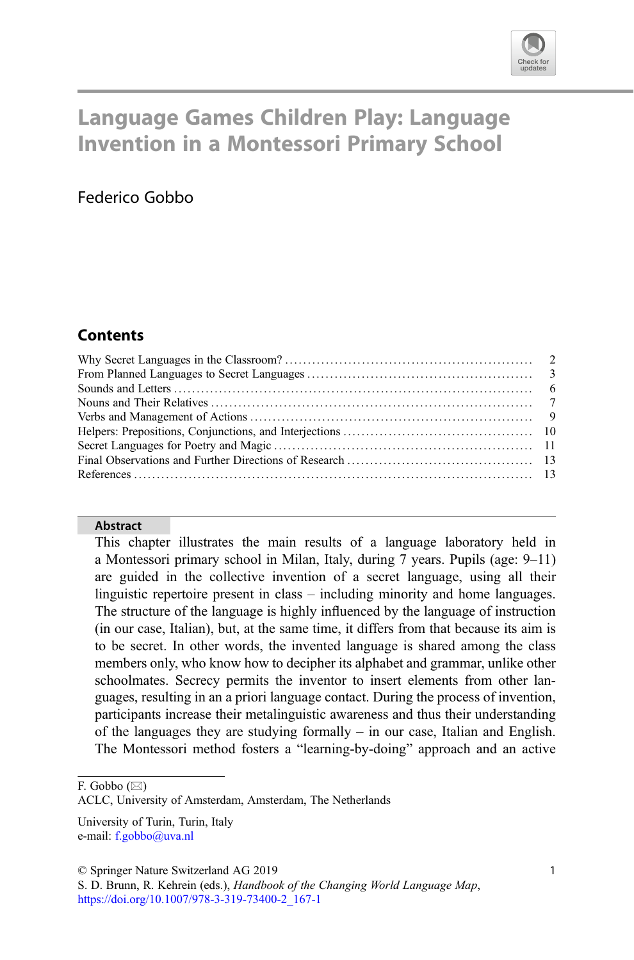

# Language Games Children Play: Language Invention in a Montessori Primary School

# Federico Gobbo

## **Contents**

#### Abstract

This chapter illustrates the main results of a language laboratory held in a Montessori primary school in Milan, Italy, during 7 years. Pupils (age: 9–11) are guided in the collective invention of a secret language, using all their linguistic repertoire present in class – including minority and home languages. The structure of the language is highly influenced by the language of instruction (in our case, Italian), but, at the same time, it differs from that because its aim is to be secret. In other words, the invented language is shared among the class members only, who know how to decipher its alphabet and grammar, unlike other schoolmates. Secrecy permits the inventor to insert elements from other languages, resulting in an a priori language contact. During the process of invention, participants increase their metalinguistic awareness and thus their understanding of the languages they are studying formally – in our case, Italian and English. The Montessori method fosters a "learning-by-doing" approach and an active

F. Gobbo  $(\boxtimes)$ 

ACLC, University of Amsterdam, Amsterdam, The Netherlands

© Springer Nature Switzerland AG 2019

University of Turin, Turin, Italy e-mail: [f.gobbo@uva.nl](mailto:f.gobbo@uva.nl)

S. D. Brunn, R. Kehrein (eds.), Handbook of the Changing World Language Map, [https://doi.org/10.1007/978-3-319-73400-2\\_167-1](https://doi.org/10.1007/978-3-319-73400-2_167-1)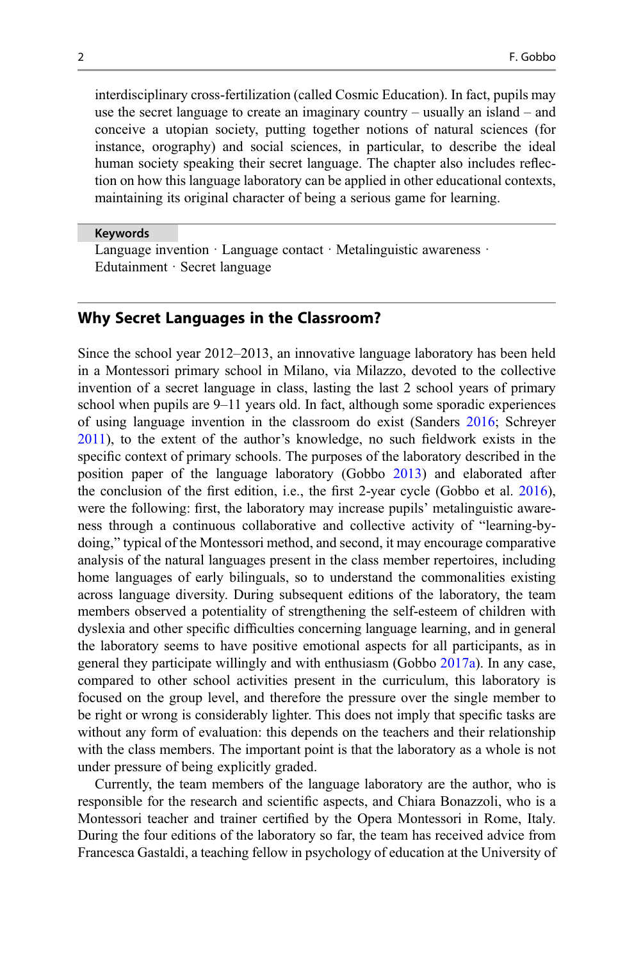interdisciplinary cross-fertilization (called Cosmic Education). In fact, pupils may use the secret language to create an imaginary country – usually an island – and conceive a utopian society, putting together notions of natural sciences (for instance, orography) and social sciences, in particular, to describe the ideal human society speaking their secret language. The chapter also includes reflection on how this language laboratory can be applied in other educational contexts, maintaining its original character of being a serious game for learning.

Keywords

Language invention · Language contact · Metalinguistic awareness · Edutainment · Secret language

## Why Secret Languages in the Classroom?

Since the school year 2012–2013, an innovative language laboratory has been held in a Montessori primary school in Milano, via Milazzo, devoted to the collective invention of a secret language in class, lasting the last 2 school years of primary school when pupils are 9–11 years old. In fact, although some sporadic experiences of using language invention in the classroom do exist (Sanders [2016](#page-14-0); Schreyer [2011\)](#page-14-0), to the extent of the author's knowledge, no such fieldwork exists in the specific context of primary schools. The purposes of the laboratory described in the position paper of the language laboratory (Gobbo [2013\)](#page-13-0) and elaborated after the conclusion of the first edition, i.e., the first 2-year cycle (Gobbo et al. [2016\)](#page-14-0), were the following: first, the laboratory may increase pupils' metalinguistic awareness through a continuous collaborative and collective activity of "learning-bydoing," typical of the Montessori method, and second, it may encourage comparative analysis of the natural languages present in the class member repertoires, including home languages of early bilinguals, so to understand the commonalities existing across language diversity. During subsequent editions of the laboratory, the team members observed a potentiality of strengthening the self-esteem of children with dyslexia and other specific difficulties concerning language learning, and in general the laboratory seems to have positive emotional aspects for all participants, as in general they participate willingly and with enthusiasm (Gobbo [2017a\)](#page-13-0). In any case, compared to other school activities present in the curriculum, this laboratory is focused on the group level, and therefore the pressure over the single member to be right or wrong is considerably lighter. This does not imply that specific tasks are without any form of evaluation: this depends on the teachers and their relationship with the class members. The important point is that the laboratory as a whole is not under pressure of being explicitly graded.

Currently, the team members of the language laboratory are the author, who is responsible for the research and scientific aspects, and Chiara Bonazzoli, who is a Montessori teacher and trainer certified by the Opera Montessori in Rome, Italy. During the four editions of the laboratory so far, the team has received advice from Francesca Gastaldi, a teaching fellow in psychology of education at the University of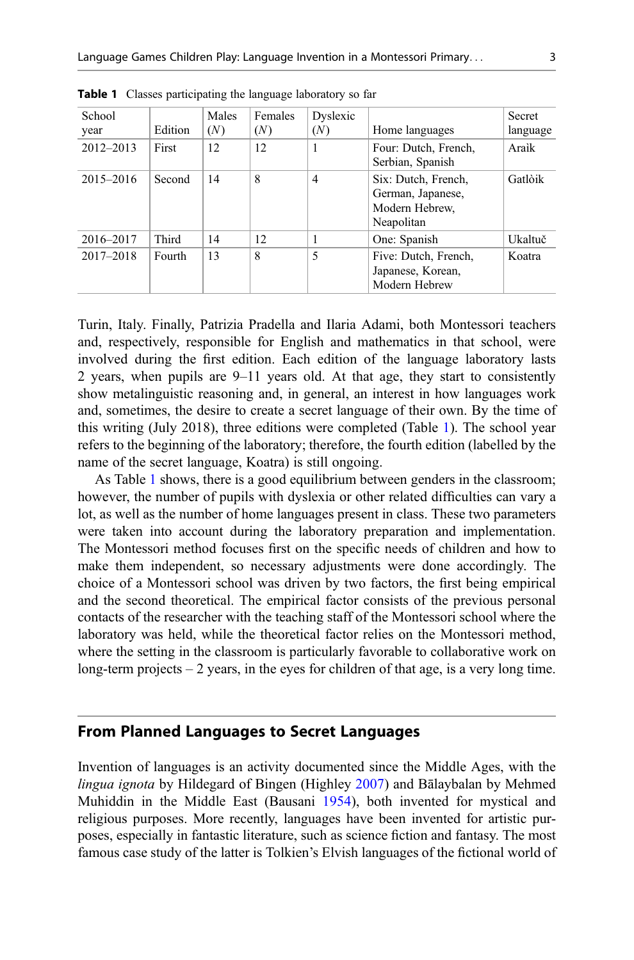| School        |         | Males | Females | Dyslexic |                                                                          | Secret   |
|---------------|---------|-------|---------|----------|--------------------------------------------------------------------------|----------|
| year          | Edition | (N)   | (N)     | (N)      | Home languages                                                           | language |
| $2012 - 2013$ | First   | 12    | 12      | 1        | Four: Dutch, French,<br>Serbian, Spanish                                 | Araik    |
| $2015 - 2016$ | Second  | 14    | 8       | 4        | Six: Dutch, French,<br>German, Japanese,<br>Modern Hebrew,<br>Neapolitan | Gatlòik  |
| 2016-2017     | Third   | 14    | 12      |          | One: Spanish                                                             | Ukaltuč  |
| $2017 - 2018$ | Fourth  | 13    | 8       | 5        | Five: Dutch, French,<br>Japanese, Korean,<br>Modern Hebrew               | Koatra   |

Table 1 Classes participating the language laboratory so far

Turin, Italy. Finally, Patrizia Pradella and Ilaria Adami, both Montessori teachers and, respectively, responsible for English and mathematics in that school, were involved during the first edition. Each edition of the language laboratory lasts 2 years, when pupils are 9–11 years old. At that age, they start to consistently show metalinguistic reasoning and, in general, an interest in how languages work and, sometimes, the desire to create a secret language of their own. By the time of this writing (July 2018), three editions were completed (Table 1). The school year refers to the beginning of the laboratory; therefore, the fourth edition (labelled by the name of the secret language, Koatra) is still ongoing.

As Table 1 shows, there is a good equilibrium between genders in the classroom; however, the number of pupils with dyslexia or other related difficulties can vary a lot, as well as the number of home languages present in class. These two parameters were taken into account during the laboratory preparation and implementation. The Montessori method focuses first on the specific needs of children and how to make them independent, so necessary adjustments were done accordingly. The choice of a Montessori school was driven by two factors, the first being empirical and the second theoretical. The empirical factor consists of the previous personal contacts of the researcher with the teaching staff of the Montessori school where the laboratory was held, while the theoretical factor relies on the Montessori method, where the setting in the classroom is particularly favorable to collaborative work on long-term projects – 2 years, in the eyes for children of that age, is a very long time.

#### From Planned Languages to Secret Languages

Invention of languages is an activity documented since the Middle Ages, with the lingua ignota by Hildegard of Bingen (Highley [2007\)](#page-14-0) and Bālaybalan by Mehmed Muhiddin in the Middle East (Bausani [1954\)](#page-13-0), both invented for mystical and religious purposes. More recently, languages have been invented for artistic purposes, especially in fantastic literature, such as science fiction and fantasy. The most famous case study of the latter is Tolkien's Elvish languages of the fictional world of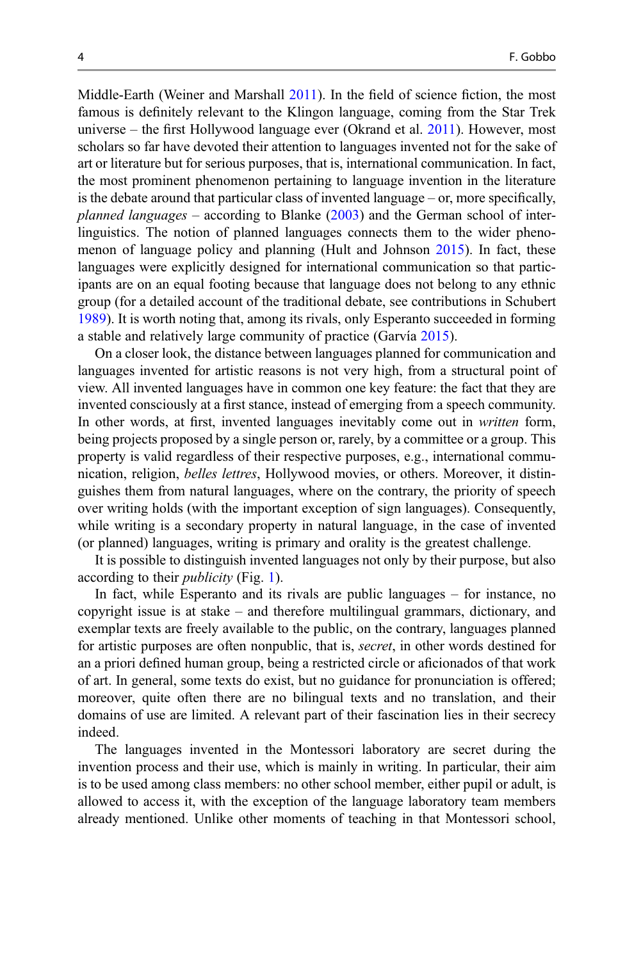Middle-Earth (Weiner and Marshall [2011](#page-14-0)). In the field of science fiction, the most famous is definitely relevant to the Klingon language, coming from the Star Trek universe – the first Hollywood language ever (Okrand et al.  $2011$ ). However, most scholars so far have devoted their attention to languages invented not for the sake of art or literature but for serious purposes, that is, international communication. In fact, the most prominent phenomenon pertaining to language invention in the literature is the debate around that particular class of invented language – or, more specifically, *planned languages* – according to Blanke  $(2003)$  $(2003)$  and the German school of interlinguistics. The notion of planned languages connects them to the wider phenomenon of language policy and planning (Hult and Johnson [2015](#page-14-0)). In fact, these languages were explicitly designed for international communication so that participants are on an equal footing because that language does not belong to any ethnic group (for a detailed account of the traditional debate, see contributions in Schubert [1989\)](#page-14-0). It is worth noting that, among its rivals, only Esperanto succeeded in forming a stable and relatively large community of practice (Garvía [2015\)](#page-13-0).

On a closer look, the distance between languages planned for communication and languages invented for artistic reasons is not very high, from a structural point of view. All invented languages have in common one key feature: the fact that they are invented consciously at a first stance, instead of emerging from a speech community. In other words, at first, invented languages inevitably come out in written form, being projects proposed by a single person or, rarely, by a committee or a group. This property is valid regardless of their respective purposes, e.g., international communication, religion, belles lettres, Hollywood movies, or others. Moreover, it distinguishes them from natural languages, where on the contrary, the priority of speech over writing holds (with the important exception of sign languages). Consequently, while writing is a secondary property in natural language, in the case of invented (or planned) languages, writing is primary and orality is the greatest challenge.

It is possible to distinguish invented languages not only by their purpose, but also according to their publicity (Fig. [1\)](#page-5-0).

In fact, while Esperanto and its rivals are public languages – for instance, no copyright issue is at stake – and therefore multilingual grammars, dictionary, and exemplar texts are freely available to the public, on the contrary, languages planned for artistic purposes are often nonpublic, that is, secret, in other words destined for an a priori defined human group, being a restricted circle or aficionados of that work of art. In general, some texts do exist, but no guidance for pronunciation is offered; moreover, quite often there are no bilingual texts and no translation, and their domains of use are limited. A relevant part of their fascination lies in their secrecy indeed.

The languages invented in the Montessori laboratory are secret during the invention process and their use, which is mainly in writing. In particular, their aim is to be used among class members: no other school member, either pupil or adult, is allowed to access it, with the exception of the language laboratory team members already mentioned. Unlike other moments of teaching in that Montessori school,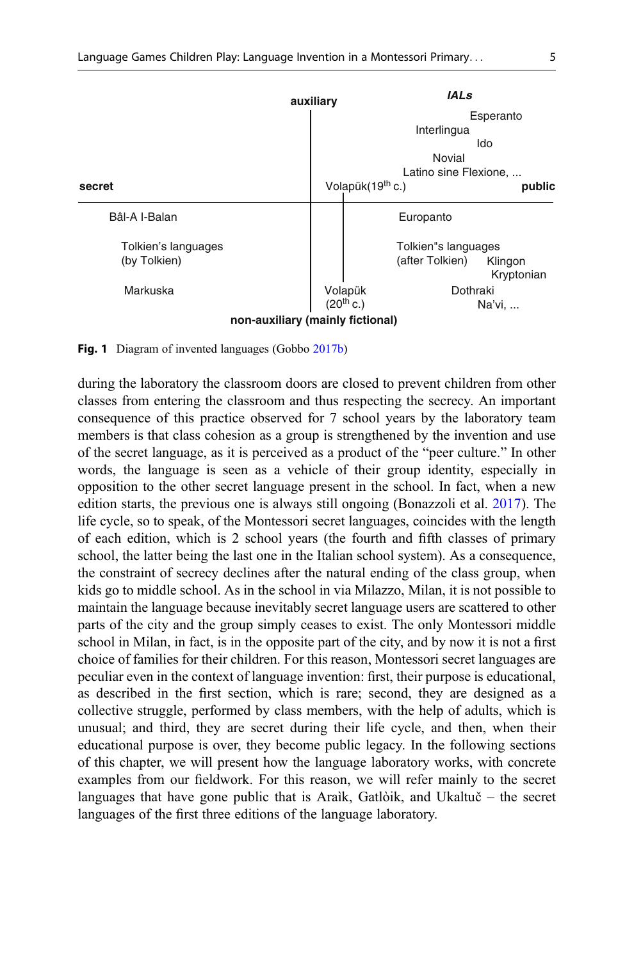<span id="page-5-0"></span>

Fig. 1 Diagram of invented languages (Gobbo [2017b](#page-13-0))

during the laboratory the classroom doors are closed to prevent children from other classes from entering the classroom and thus respecting the secrecy. An important consequence of this practice observed for 7 school years by the laboratory team members is that class cohesion as a group is strengthened by the invention and use of the secret language, as it is perceived as a product of the "peer culture." In other words, the language is seen as a vehicle of their group identity, especially in opposition to the other secret language present in the school. In fact, when a new edition starts, the previous one is always still ongoing (Bonazzoli et al. [2017](#page-13-0)). The life cycle, so to speak, of the Montessori secret languages, coincides with the length of each edition, which is 2 school years (the fourth and fifth classes of primary school, the latter being the last one in the Italian school system). As a consequence, the constraint of secrecy declines after the natural ending of the class group, when kids go to middle school. As in the school in via Milazzo, Milan, it is not possible to maintain the language because inevitably secret language users are scattered to other parts of the city and the group simply ceases to exist. The only Montessori middle school in Milan, in fact, is in the opposite part of the city, and by now it is not a first choice of families for their children. For this reason, Montessori secret languages are peculiar even in the context of language invention: first, their purpose is educational, as described in the first section, which is rare; second, they are designed as a collective struggle, performed by class members, with the help of adults, which is unusual; and third, they are secret during their life cycle, and then, when their educational purpose is over, they become public legacy. In the following sections of this chapter, we will present how the language laboratory works, with concrete examples from our fieldwork. For this reason, we will refer mainly to the secret languages that have gone public that is Araìk, Gatlòik, and Ukaltuč – the secret languages of the first three editions of the language laboratory.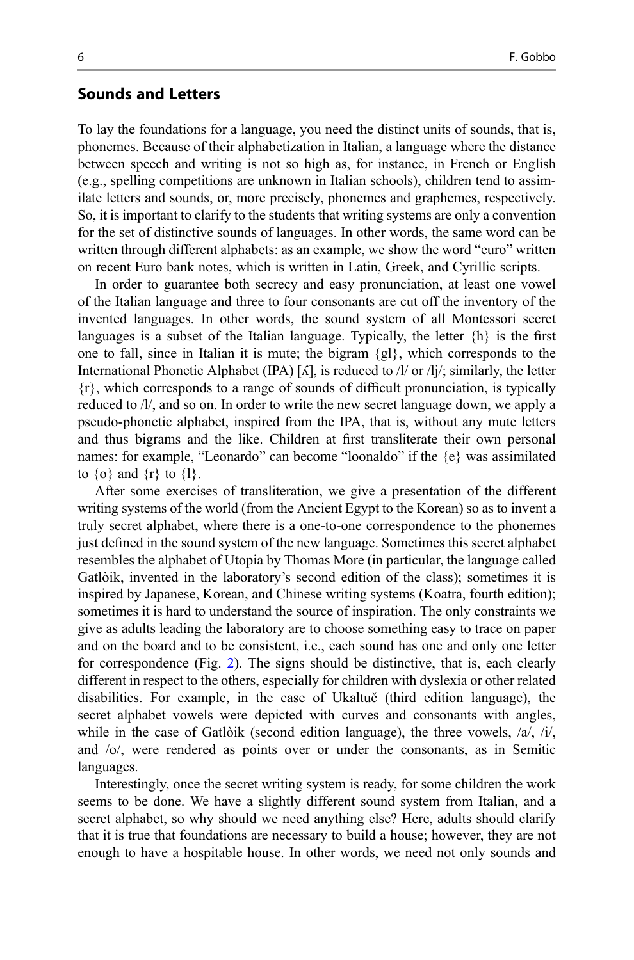#### Sounds and Letters

To lay the foundations for a language, you need the distinct units of sounds, that is, phonemes. Because of their alphabetization in Italian, a language where the distance between speech and writing is not so high as, for instance, in French or English (e.g., spelling competitions are unknown in Italian schools), children tend to assimilate letters and sounds, or, more precisely, phonemes and graphemes, respectively. So, it is important to clarify to the students that writing systems are only a convention for the set of distinctive sounds of languages. In other words, the same word can be written through different alphabets: as an example, we show the word "euro" written on recent Euro bank notes, which is written in Latin, Greek, and Cyrillic scripts.

In order to guarantee both secrecy and easy pronunciation, at least one vowel of the Italian language and three to four consonants are cut off the inventory of the invented languages. In other words, the sound system of all Montessori secret languages is a subset of the Italian language. Typically, the letter  $\{h\}$  is the first one to fall, since in Italian it is mute; the bigram  $\{gl\}$ , which corresponds to the International Phonetic Alphabet (IPA) [ $\Lambda$ ], is reduced to  $\Lambda$  or  $\Lambda$ j/; similarly, the letter {r}, which corresponds to a range of sounds of difficult pronunciation, is typically reduced to /l/, and so on. In order to write the new secret language down, we apply a pseudo-phonetic alphabet, inspired from the IPA, that is, without any mute letters and thus bigrams and the like. Children at first transliterate their own personal names: for example, "Leonardo" can become "loonaldo" if the {e} was assimilated to  $\{o\}$  and  $\{r\}$  to  $\{1\}$ .

After some exercises of transliteration, we give a presentation of the different writing systems of the world (from the Ancient Egypt to the Korean) so as to invent a truly secret alphabet, where there is a one-to-one correspondence to the phonemes just defined in the sound system of the new language. Sometimes this secret alphabet resembles the alphabet of Utopia by Thomas More (in particular, the language called Gatlòik, invented in the laboratory's second edition of the class); sometimes it is inspired by Japanese, Korean, and Chinese writing systems (Koatra, fourth edition); sometimes it is hard to understand the source of inspiration. The only constraints we give as adults leading the laboratory are to choose something easy to trace on paper and on the board and to be consistent, i.e., each sound has one and only one letter for correspondence (Fig. [2](#page-7-0)). The signs should be distinctive, that is, each clearly different in respect to the others, especially for children with dyslexia or other related disabilities. For example, in the case of Ukaltuč (third edition language), the secret alphabet vowels were depicted with curves and consonants with angles, while in the case of Gatlòik (second edition language), the three vowels,  $\langle a \rangle$ ,  $\langle i \rangle$ , and /o/, were rendered as points over or under the consonants, as in Semitic languages.

Interestingly, once the secret writing system is ready, for some children the work seems to be done. We have a slightly different sound system from Italian, and a secret alphabet, so why should we need anything else? Here, adults should clarify that it is true that foundations are necessary to build a house; however, they are not enough to have a hospitable house. In other words, we need not only sounds and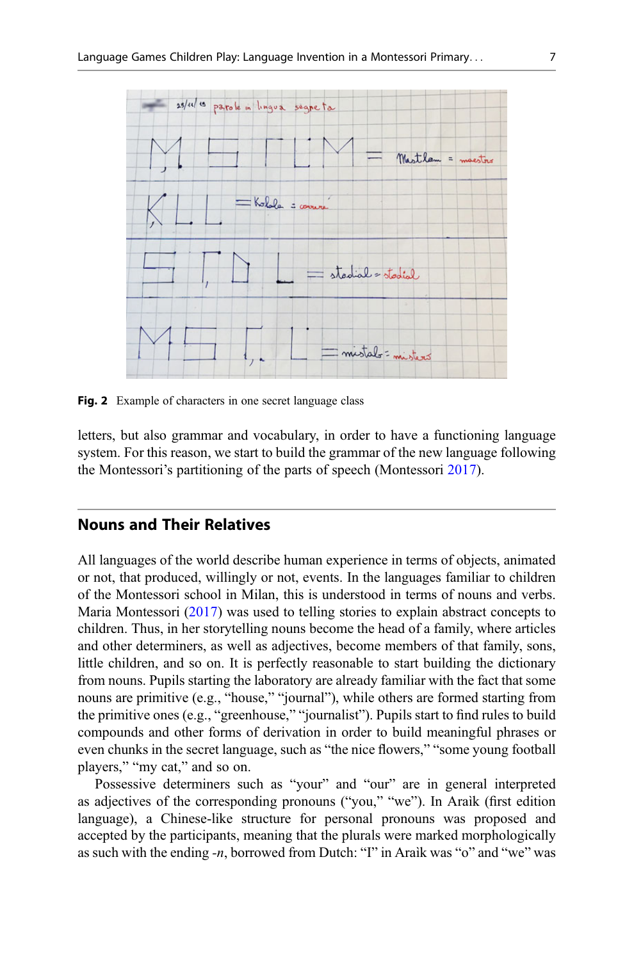<span id="page-7-0"></span>

Fig. 2 Example of characters in one secret language class

letters, but also grammar and vocabulary, in order to have a functioning language system. For this reason, we start to build the grammar of the new language following the Montessori's partitioning of the parts of speech (Montessori [2017](#page-14-0)).

#### Nouns and Their Relatives

All languages of the world describe human experience in terms of objects, animated or not, that produced, willingly or not, events. In the languages familiar to children of the Montessori school in Milan, this is understood in terms of nouns and verbs. Maria Montessori ([2017\)](#page-14-0) was used to telling stories to explain abstract concepts to children. Thus, in her storytelling nouns become the head of a family, where articles and other determiners, as well as adjectives, become members of that family, sons, little children, and so on. It is perfectly reasonable to start building the dictionary from nouns. Pupils starting the laboratory are already familiar with the fact that some nouns are primitive (e.g., "house," "journal"), while others are formed starting from the primitive ones (e.g., "greenhouse," "journalist"). Pupils start to find rules to build compounds and other forms of derivation in order to build meaningful phrases or even chunks in the secret language, such as "the nice flowers," "some young football players," "my cat," and so on.

Possessive determiners such as "your" and "our" are in general interpreted as adjectives of the corresponding pronouns ("you," "we"). In Araìk (first edition language), a Chinese-like structure for personal pronouns was proposed and accepted by the participants, meaning that the plurals were marked morphologically as such with the ending  $-n$ , borrowed from Dutch: "I" in Araìk was "o" and "we" was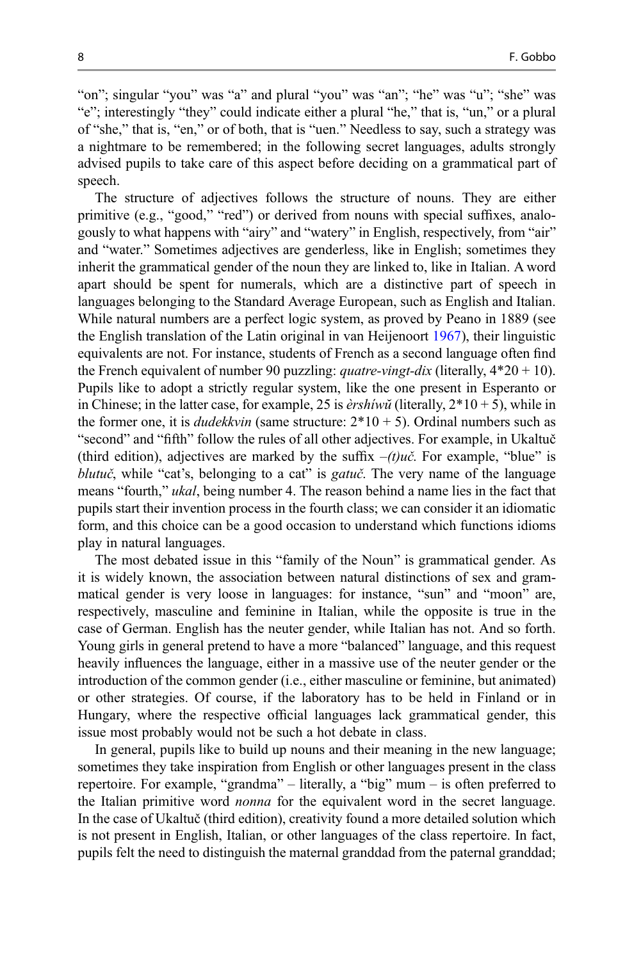"on"; singular "you" was "a" and plural "you" was "an"; "he" was "u"; "she" was "e"; interestingly "they" could indicate either a plural "he," that is, "un," or a plural of "she," that is, "en," or of both, that is "uen." Needless to say, such a strategy was a nightmare to be remembered; in the following secret languages, adults strongly advised pupils to take care of this aspect before deciding on a grammatical part of speech.

The structure of adjectives follows the structure of nouns. They are either primitive (e.g., "good," "red") or derived from nouns with special suffixes, analogously to what happens with "airy" and "watery" in English, respectively, from "air" and "water." Sometimes adjectives are genderless, like in English; sometimes they inherit the grammatical gender of the noun they are linked to, like in Italian. A word apart should be spent for numerals, which are a distinctive part of speech in languages belonging to the Standard Average European, such as English and Italian. While natural numbers are a perfect logic system, as proved by Peano in 1889 (see the English translation of the Latin original in van Heijenoort [1967\)](#page-14-0), their linguistic equivalents are not. For instance, students of French as a second language often find the French equivalent of number 90 puzzling: *quatre-vingt-dix* (literally,  $4*20 + 10$ ). Pupils like to adopt a strictly regular system, like the one present in Esperanto or in Chinese; in the latter case, for example, 25 is  $\frac{\partial^2 f}{\partial x \partial y}$  (literally,  $2*10+5$ ), while in the former one, it is *dudekkvin* (same structure:  $2*10 + 5$ ). Ordinal numbers such as "second" and "fifth" follow the rules of all other adjectives. For example, in Ukaltuč (third edition), adjectives are marked by the suffix  $-(t)u\dot{c}$ . For example, "blue" is blutuč, while "cat's, belonging to a cat" is *gatuč*. The very name of the language means "fourth," ukal, being number 4. The reason behind a name lies in the fact that pupils start their invention process in the fourth class; we can consider it an idiomatic form, and this choice can be a good occasion to understand which functions idioms play in natural languages.

The most debated issue in this "family of the Noun" is grammatical gender. As it is widely known, the association between natural distinctions of sex and grammatical gender is very loose in languages: for instance, "sun" and "moon" are, respectively, masculine and feminine in Italian, while the opposite is true in the case of German. English has the neuter gender, while Italian has not. And so forth. Young girls in general pretend to have a more "balanced" language, and this request heavily influences the language, either in a massive use of the neuter gender or the introduction of the common gender (i.e., either masculine or feminine, but animated) or other strategies. Of course, if the laboratory has to be held in Finland or in Hungary, where the respective official languages lack grammatical gender, this issue most probably would not be such a hot debate in class.

In general, pupils like to build up nouns and their meaning in the new language; sometimes they take inspiration from English or other languages present in the class repertoire. For example, "grandma" – literally, a "big" mum – is often preferred to the Italian primitive word nonna for the equivalent word in the secret language. In the case of Ukaltuč (third edition), creativity found a more detailed solution which is not present in English, Italian, or other languages of the class repertoire. In fact, pupils felt the need to distinguish the maternal granddad from the paternal granddad;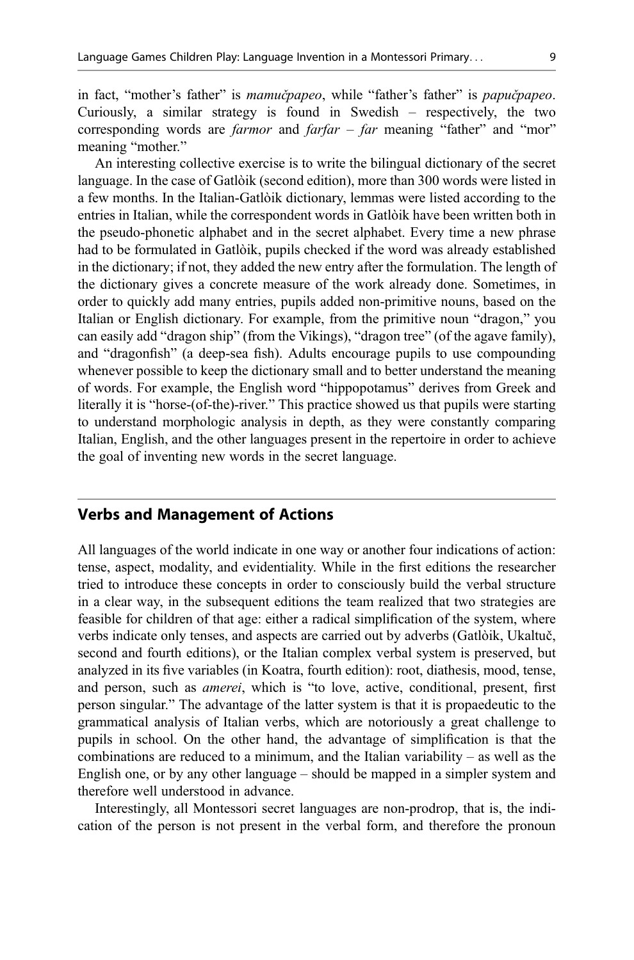in fact, "mother's father" is mamucqpapeo, while "father's father" is papucquapeo. Curiously, a similar strategy is found in Swedish – respectively, the two corresponding words are *farmor* and *farfar – far* meaning "father" and "mor" meaning "mother."

An interesting collective exercise is to write the bilingual dictionary of the secret language. In the case of Gatlòik (second edition), more than 300 words were listed in a few months. In the Italian-Gatlòik dictionary, lemmas were listed according to the entries in Italian, while the correspondent words in Gatlòik have been written both in the pseudo-phonetic alphabet and in the secret alphabet. Every time a new phrase had to be formulated in Gatlòik, pupils checked if the word was already established in the dictionary; if not, they added the new entry after the formulation. The length of the dictionary gives a concrete measure of the work already done. Sometimes, in order to quickly add many entries, pupils added non-primitive nouns, based on the Italian or English dictionary. For example, from the primitive noun "dragon," you can easily add "dragon ship" (from the Vikings), "dragon tree" (of the agave family), and "dragonfish" (a deep-sea fish). Adults encourage pupils to use compounding whenever possible to keep the dictionary small and to better understand the meaning of words. For example, the English word "hippopotamus" derives from Greek and literally it is "horse-(of-the)-river." This practice showed us that pupils were starting to understand morphologic analysis in depth, as they were constantly comparing Italian, English, and the other languages present in the repertoire in order to achieve the goal of inventing new words in the secret language.

#### Verbs and Management of Actions

All languages of the world indicate in one way or another four indications of action: tense, aspect, modality, and evidentiality. While in the first editions the researcher tried to introduce these concepts in order to consciously build the verbal structure in a clear way, in the subsequent editions the team realized that two strategies are feasible for children of that age: either a radical simplification of the system, where verbs indicate only tenses, and aspects are carried out by adverbs (Gatlòik, Ukaltuč, second and fourth editions), or the Italian complex verbal system is preserved, but analyzed in its five variables (in Koatra, fourth edition): root, diathesis, mood, tense, and person, such as *amerei*, which is "to love, active, conditional, present, first person singular." The advantage of the latter system is that it is propaedeutic to the grammatical analysis of Italian verbs, which are notoriously a great challenge to pupils in school. On the other hand, the advantage of simplification is that the combinations are reduced to a minimum, and the Italian variability – as well as the English one, or by any other language – should be mapped in a simpler system and therefore well understood in advance.

Interestingly, all Montessori secret languages are non-prodrop, that is, the indication of the person is not present in the verbal form, and therefore the pronoun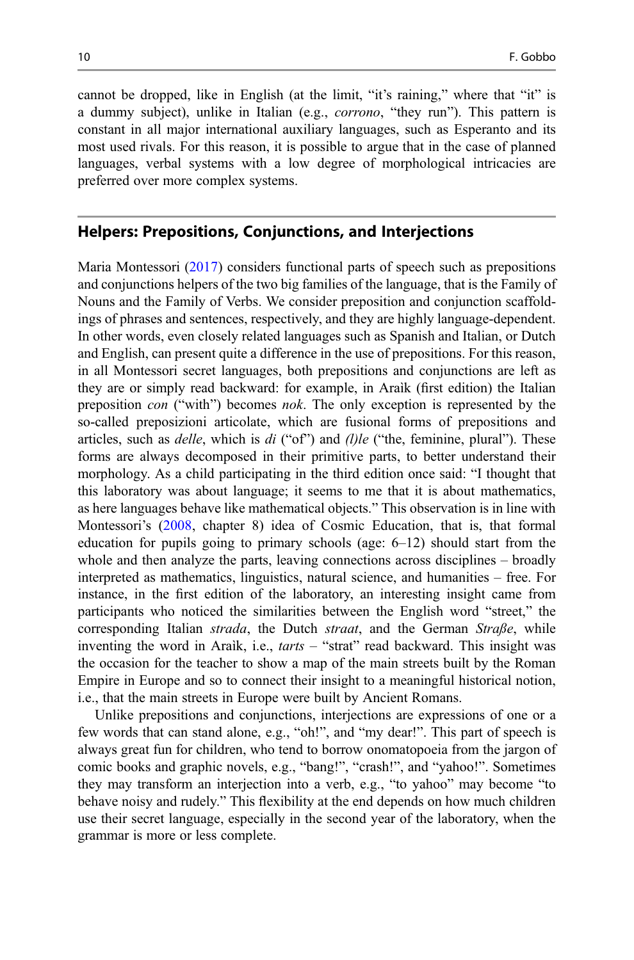cannot be dropped, like in English (at the limit, "it's raining," where that "it" is a dummy subject), unlike in Italian (e.g., corrono, "they run"). This pattern is constant in all major international auxiliary languages, such as Esperanto and its most used rivals. For this reason, it is possible to argue that in the case of planned languages, verbal systems with a low degree of morphological intricacies are preferred over more complex systems.

#### Helpers: Prepositions, Conjunctions, and Interjections

Maria Montessori [\(2017](#page-14-0)) considers functional parts of speech such as prepositions and conjunctions helpers of the two big families of the language, that is the Family of Nouns and the Family of Verbs. We consider preposition and conjunction scaffoldings of phrases and sentences, respectively, and they are highly language-dependent. In other words, even closely related languages such as Spanish and Italian, or Dutch and English, can present quite a difference in the use of prepositions. For this reason, in all Montessori secret languages, both prepositions and conjunctions are left as they are or simply read backward: for example, in Araìk (first edition) the Italian preposition con ("with") becomes nok. The only exception is represented by the so-called preposizioni articolate, which are fusional forms of prepositions and articles, such as  $delle$ , which is  $di$  ("of") and  $(l)le$  ("the, feminine, plural"). These forms are always decomposed in their primitive parts, to better understand their morphology. As a child participating in the third edition once said: "I thought that this laboratory was about language; it seems to me that it is about mathematics, as here languages behave like mathematical objects." This observation is in line with Montessori's [\(2008](#page-14-0), chapter 8) idea of Cosmic Education, that is, that formal education for pupils going to primary schools (age:  $6-12$ ) should start from the whole and then analyze the parts, leaving connections across disciplines – broadly interpreted as mathematics, linguistics, natural science, and humanities – free. For instance, in the first edition of the laboratory, an interesting insight came from participants who noticed the similarities between the English word "street," the corresponding Italian *strada*, the Dutch *straat*, and the German *Straße*, while inventing the word in Araìk, i.e., *tarts –* "strat" read backward. This insight was the occasion for the teacher to show a map of the main streets built by the Roman Empire in Europe and so to connect their insight to a meaningful historical notion, i.e., that the main streets in Europe were built by Ancient Romans.

Unlike prepositions and conjunctions, interjections are expressions of one or a few words that can stand alone, e.g., "oh!", and "my dear!". This part of speech is always great fun for children, who tend to borrow onomatopoeia from the jargon of comic books and graphic novels, e.g., "bang!", "crash!", and "yahoo!". Sometimes they may transform an interjection into a verb, e.g., "to yahoo" may become "to behave noisy and rudely." This flexibility at the end depends on how much children use their secret language, especially in the second year of the laboratory, when the grammar is more or less complete.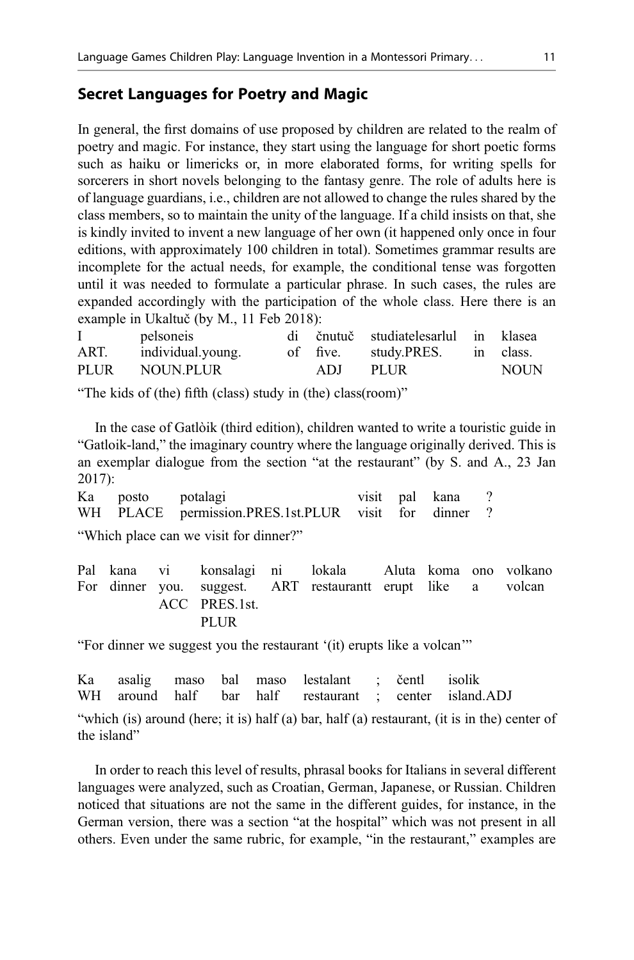## Secret Languages for Poetry and Magic

In general, the first domains of use proposed by children are related to the realm of poetry and magic. For instance, they start using the language for short poetic forms such as haiku or limericks or, in more elaborated forms, for writing spells for sorcerers in short novels belonging to the fantasy genre. The role of adults here is of language guardians, i.e., children are not allowed to change the rules shared by the class members, so to maintain the unity of the language. If a child insists on that, she is kindly invited to invent a new language of her own (it happened only once in four editions, with approximately 100 children in total). Sometimes grammar results are incomplete for the actual needs, for example, the conditional tense was forgotten until it was needed to formulate a particular phrase. In such cases, the rules are expanded accordingly with the participation of the whole class. Here there is an example in Ukaltuč (by M., 11 Feb 2018):

|      | pelsoneis         |          | di čnutuč studiatelesarlul in klasea |             |
|------|-------------------|----------|--------------------------------------|-------------|
| ART. | individual.young. | of five. | study.PRES. in class.                |             |
| PLUR | NOUN.PLUR         | ADJ.     | <b>PLUR</b>                          | <b>NOUN</b> |

"The kids of (the) fifth (class) study in (the) class(room)"

In the case of Gatlòik (third edition), children wanted to write a touristic guide in "Gatloik-land," the imaginary country where the language originally derived. This is an exemplar dialogue from the section "at the restaurant" (by S. and A., 23 Jan 2017):

| Ka posto potalagi |                                                      |  | visit pal kana ? |  |
|-------------------|------------------------------------------------------|--|------------------|--|
|                   | WH PLACE permission.PRES.1st.PLUR visit for dinner ? |  |                  |  |
|                   |                                                      |  |                  |  |

"Which place can we visit for dinner?"

Pal kana vi konsalagi ni lokala Aluta koma ono volkano For dinner you. ACC suggest. PRES.1st. **PLUR** ART restaurantt erupt like a volcan

"For dinner we suggest you the restaurant '(it) erupts like a volcan'"

|  |  | Ka asalig maso bal maso lestalant ; čentl isolik |  |                                                        |
|--|--|--------------------------------------------------|--|--------------------------------------------------------|
|  |  |                                                  |  | WH around half bar half restaurant ; center island.ADJ |

"which (is) around (here; it is) half (a) bar, half (a) restaurant, (it is in the) center of the island"

In order to reach this level of results, phrasal books for Italians in several different languages were analyzed, such as Croatian, German, Japanese, or Russian. Children noticed that situations are not the same in the different guides, for instance, in the German version, there was a section "at the hospital" which was not present in all others. Even under the same rubric, for example, "in the restaurant," examples are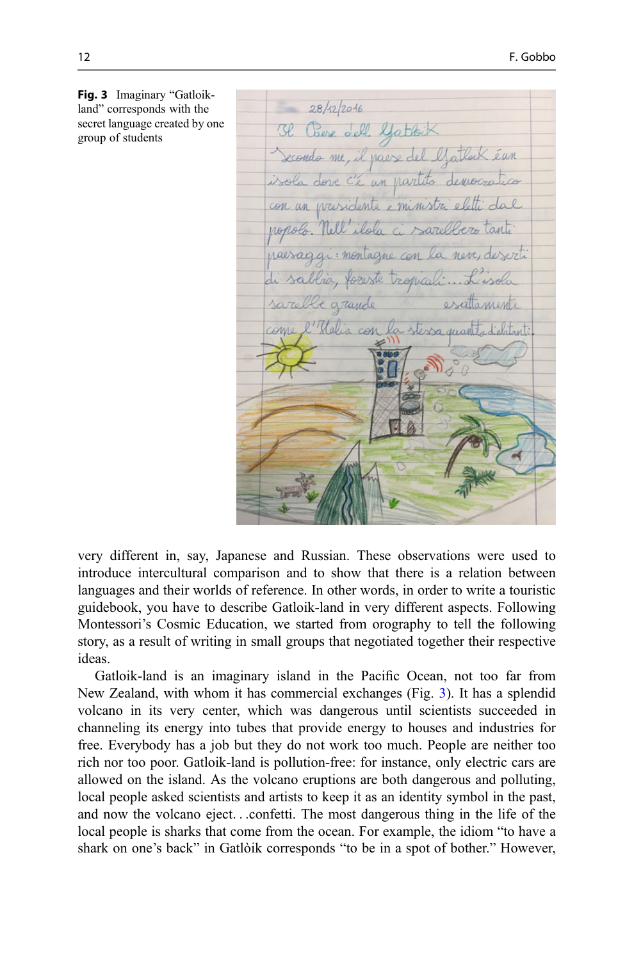Fig. 3 Imaginary "Gatloikland" corresponds with the secret language created by one group of students

 $28/12/2016$ 3l Chese dell Gattoix Secondo me, il paese del l'atlait éun isola dove c'è un partito democra con un presidente e ministra : montagne con la neve, deserto foreste tropicali e grande con la stessa quan

very different in, say, Japanese and Russian. These observations were used to introduce intercultural comparison and to show that there is a relation between languages and their worlds of reference. In other words, in order to write a touristic guidebook, you have to describe Gatloik-land in very different aspects. Following Montessori's Cosmic Education, we started from orography to tell the following story, as a result of writing in small groups that negotiated together their respective ideas.

Gatloik-land is an imaginary island in the Pacific Ocean, not too far from New Zealand, with whom it has commercial exchanges (Fig. 3). It has a splendid volcano in its very center, which was dangerous until scientists succeeded in channeling its energy into tubes that provide energy to houses and industries for free. Everybody has a job but they do not work too much. People are neither too rich nor too poor. Gatloik-land is pollution-free: for instance, only electric cars are allowed on the island. As the volcano eruptions are both dangerous and polluting, local people asked scientists and artists to keep it as an identity symbol in the past, and now the volcano eject...confetti. The most dangerous thing in the life of the local people is sharks that come from the ocean. For example, the idiom "to have a shark on one's back" in Gatlòik corresponds "to be in a spot of bother." However,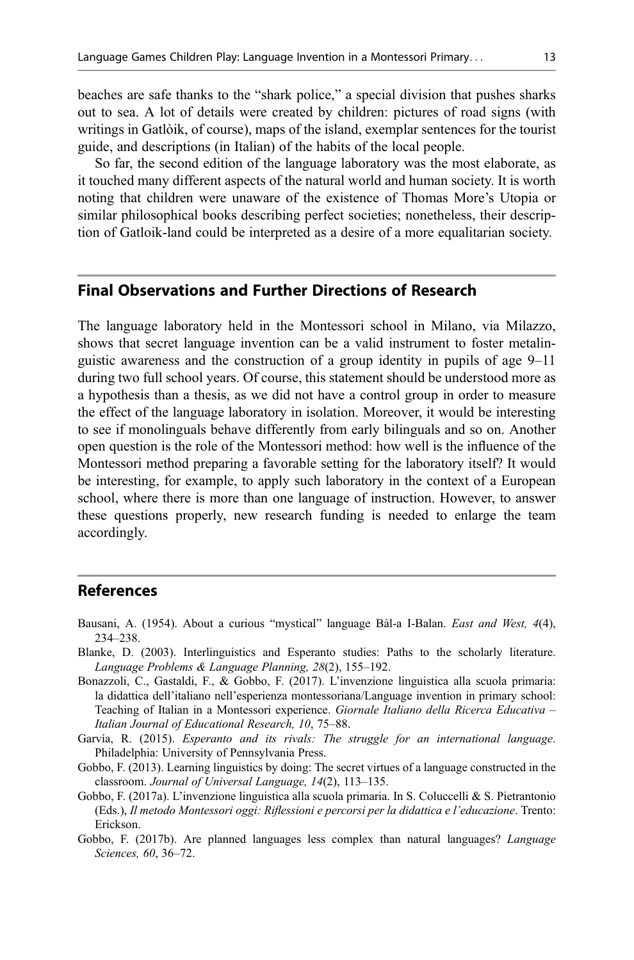<span id="page-13-0"></span>beaches are safe thanks to the "shark police," a special division that pushes sharks out to sea. A lot of details were created by children: pictures of road signs (with writings in Gatlòik, of course), maps of the island, exemplar sentences for the tourist guide, and descriptions (in Italian) of the habits of the local people.

So far, the second edition of the language laboratory was the most elaborate, as it touched many different aspects of the natural world and human society. It is worth noting that children were unaware of the existence of Thomas More's Utopia or similar philosophical books describing perfect societies; nonetheless, their description of Gatloik-land could be interpreted as a desire of a more equalitarian society.

### Final Observations and Further Directions of Research

The language laboratory held in the Montessori school in Milano, via Milazzo, shows that secret language invention can be a valid instrument to foster metalinguistic awareness and the construction of a group identity in pupils of age 9–11 during two full school years. Of course, this statement should be understood more as a hypothesis than a thesis, as we did not have a control group in order to measure the effect of the language laboratory in isolation. Moreover, it would be interesting to see if monolinguals behave differently from early bilinguals and so on. Another open question is the role of the Montessori method: how well is the influence of the Montessori method preparing a favorable setting for the laboratory itself? It would be interesting, for example, to apply such laboratory in the context of a European school, where there is more than one language of instruction. However, to answer these questions properly, new research funding is needed to enlarge the team accordingly.

#### References

- Bausani, A. (1954). About a curious "mystical" language Bâl-a I-Balan. East and West, 4(4), 234–238.
- Blanke, D. (2003). Interlinguistics and Esperanto studies: Paths to the scholarly literature. Language Problems & Language Planning, 28(2), 155–192.
- Bonazzoli, C., Gastaldi, F., & Gobbo, F. (2017). L'invenzione linguistica alla scuola primaria: la didattica dell'italiano nell'esperienza montessoriana/Language invention in primary school: Teaching of Italian in a Montessori experience. Giornale Italiano della Ricerca Educativa -Italian Journal of Educational Research, 10, 75–88.
- Garvía, R. (2015). Esperanto and its rivals: The struggle for an international language. Philadelphia: University of Pennsylvania Press.
- Gobbo, F. (2013). Learning linguistics by doing: The secret virtues of a language constructed in the classroom. Journal of Universal Language, 14(2), 113–135.
- Gobbo, F. (2017a). L'invenzione linguistica alla scuola primaria. In S. Coluccelli & S. Pietrantonio (Eds.), Il metodo Montessori oggi: Riflessioni e percorsi per la didattica e l'educazione. Trento: Erickson.
- Gobbo, F. (2017b). Are planned languages less complex than natural languages? Language Sciences, 60, 36–72.